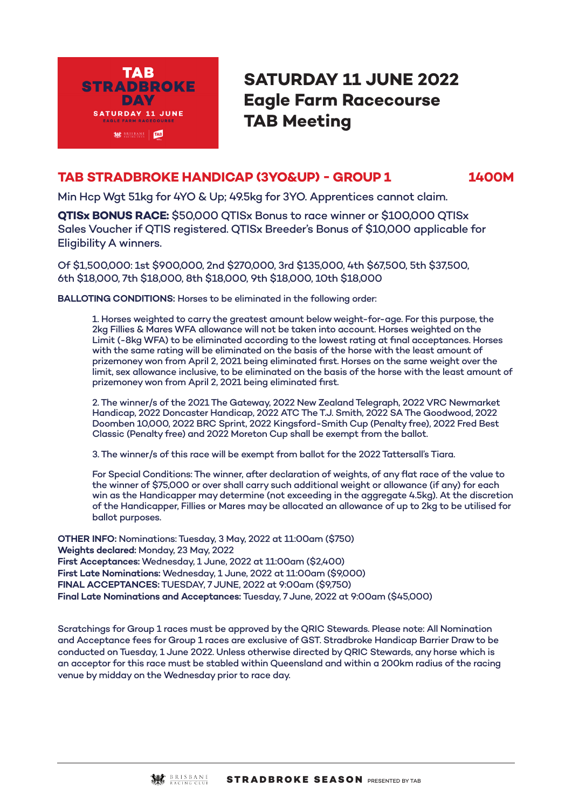

# **SATURDAY 11 JUNE 2022 Eagle Farm Racecourse TAB Meeting**

# **TAB STRADBROKE HANDICAP (3YO&UP) - GROUP 1 1400M**

Min Hcp Wgt 51kg for 4YO & Up; 49.5kg for 3YO. Apprentices cannot claim.

**QTISx BONUS RACE:** \$50,000 QTISx Bonus to race winner or \$100,000 QTISx Sales Voucher if QTIS registered. QTISx Breeder's Bonus of \$10,000 applicable for Eligibility A winners.

Of \$1,500,000: 1st \$900,000, 2nd \$270,000, 3rd \$135,000, 4th \$67,500, 5th \$37,500, 6th \$18,000, 7th \$18,000, 8th \$18,000, 9th \$18,000, 10th \$18,000

**BALLOTING CONDITIONS:** Horses to be eliminated in the following order:

1. Horses weighted to carry the greatest amount below weight-for-age. For this purpose, the 2kg Fillies & Mares WFA allowance will not be taken into account. Horses weighted on the Limit (-8kg WFA) to be eliminated according to the lowest rating at final acceptances. Horses with the same rating will be eliminated on the basis of the horse with the least amount of prizemoney won from April 2, 2021 being eliminated first. Horses on the same weight over the limit, sex allowance inclusive, to be eliminated on the basis of the horse with the least amount of prizemoney won from April 2, 2021 being eliminated first.

2. The winner/s of the 2021 The Gateway, 2022 New Zealand Telegraph, 2022 VRC Newmarket Handicap, 2022 Doncaster Handicap, 2022 ATC The T.J. Smith, 2022 SA The Goodwood, 2022 Doomben 10,000, 2022 BRC Sprint, 2022 Kingsford-Smith Cup (Penalty free), 2022 Fred Best Classic (Penalty free) and 2022 Moreton Cup shall be exempt from the ballot.

3. The winner/s of this race will be exempt from ballot for the 2022 Tattersall's Tiara.

For Special Conditions: The winner, after declaration of weights, of any flat race of the value to the winner of \$75,000 or over shall carry such additional weight or allowance (if any) for each win as the Handicapper may determine (not exceeding in the aggregate 4.5kg). At the discretion of the Handicapper, Fillies or Mares may be allocated an allowance of up to 2kg to be utilised for ballot purposes.

**OTHER INFO:** Nominations: Tuesday, 3 May, 2022 at 11:00am (\$750) **Weights declared:** Monday, 23 May, 2022 **First Acceptances:** Wednesday, 1 June, 2022 at 11:00am (\$2,400) **First Late Nominations:** Wednesday, 1 June, 2022 at 11:00am (\$9,000) **FINAL ACCEPTANCES:** TUESDAY, 7 JUNE, 2022 at 9:00am (\$9,750) **Final Late Nominations and Acceptances:** Tuesday, 7 June, 2022 at 9:00am (\$45,000)

Scratchings for Group 1 races must be approved by the QRIC Stewards. Please note: All Nomination and Acceptance fees for Group 1 races are exclusive of GST. Stradbroke Handicap Barrier Draw to be conducted on Tuesday, 1 June 2022. Unless otherwise directed by QRIC Stewards, any horse which is an acceptor for this race must be stabled within Queensland and within a 200km radius of the racing venue by midday on the Wednesday prior to race day.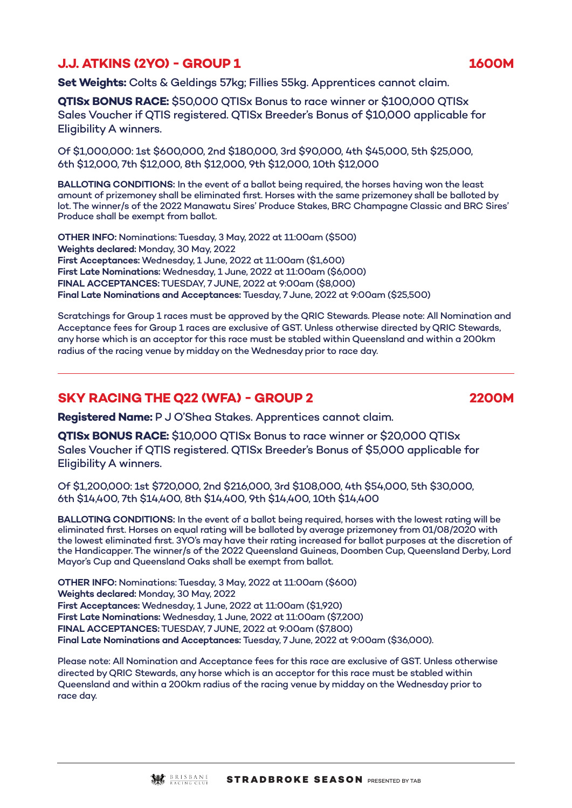# **J.J. ATKINS (2YO) - GROUP 1 1600M**

**Set Weights:** Colts & Geldings 57kg; Fillies 55kg. Apprentices cannot claim.

**QTISx BONUS RACE:** \$50,000 QTISx Bonus to race winner or \$100,000 QTISx Sales Voucher if QTIS registered. QTISx Breeder's Bonus of \$10,000 applicable for Eligibility A winners.

Of \$1,000,000: 1st \$600,000, 2nd \$180,000, 3rd \$90,000, 4th \$45,000, 5th \$25,000, 6th \$12,000, 7th \$12,000, 8th \$12,000, 9th \$12,000, 10th \$12,000

**BALLOTING CONDITIONS:** In the event of a ballot being required, the horses having won the least amount of prizemoney shall be eliminated first. Horses with the same prizemoney shall be balloted by lot. The winner/s of the 2022 Manawatu Sires' Produce Stakes, BRC Champagne Classic and BRC Sires' Produce shall be exempt from ballot.

**OTHER INFO:** Nominations: Tuesday, 3 May, 2022 at 11:00am (\$500) **Weights declared:** Monday, 30 May, 2022 **First Acceptances:** Wednesday, 1 June, 2022 at 11:00am (\$1,600) **First Late Nominations:** Wednesday, 1 June, 2022 at 11:00am (\$6,000) **FINAL ACCEPTANCES:** TUESDAY, 7 JUNE, 2022 at 9:00am (\$8,000) **Final Late Nominations and Acceptances:** Tuesday, 7 June, 2022 at 9:00am (\$25,500)

Scratchings for Group 1 races must be approved by the QRIC Stewards. Please note: All Nomination and Acceptance fees for Group 1 races are exclusive of GST. Unless otherwise directed by QRIC Stewards, any horse which is an acceptor for this race must be stabled within Queensland and within a 200km radius of the racing venue by midday on the Wednesday prior to race day.

### **SKY RACING THE Q22 (WFA) - GROUP 2 2200M**

**Registered Name:** P J O'Shea Stakes. Apprentices cannot claim.

**QTISx BONUS RACE:** \$10,000 QTISx Bonus to race winner or \$20,000 QTISx Sales Voucher if QTIS registered. QTISx Breeder's Bonus of \$5,000 applicable for Eligibility A winners.

Of \$1,200,000: 1st \$720,000, 2nd \$216,000, 3rd \$108,000, 4th \$54,000, 5th \$30,000, 6th \$14,400, 7th \$14,400, 8th \$14,400, 9th \$14,400, 10th \$14,400

**BALLOTING CONDITIONS:** In the event of a ballot being required, horses with the lowest rating will be eliminated first. Horses on equal rating will be balloted by average prizemoney from 01/08/2020 with the lowest eliminated first. 3YO's may have their rating increased for ballot purposes at the discretion of the Handicapper. The winner/s of the 2022 Queensland Guineas, Doomben Cup, Queensland Derby, Lord Mayor's Cup and Queensland Oaks shall be exempt from ballot.

**OTHER INFO:** Nominations: Tuesday, 3 May, 2022 at 11:00am (\$600) **Weights declared:** Monday, 30 May, 2022 **First Acceptances:** Wednesday, 1 June, 2022 at 11:00am (\$1,920) **First Late Nominations:** Wednesday, 1 June, 2022 at 11:00am (\$7,200) **FINAL ACCEPTANCES:** TUESDAY, 7 JUNE, 2022 at 9:00am (\$7,800) **Final Late Nominations and Acceptances:** Tuesday, 7 June, 2022 at 9:00am (\$36,000).

Please note: All Nomination and Acceptance fees for this race are exclusive of GST. Unless otherwise directed by QRIC Stewards, any horse which is an acceptor for this race must be stabled within Queensland and within a 200km radius of the racing venue by midday on the Wednesday prior to race day.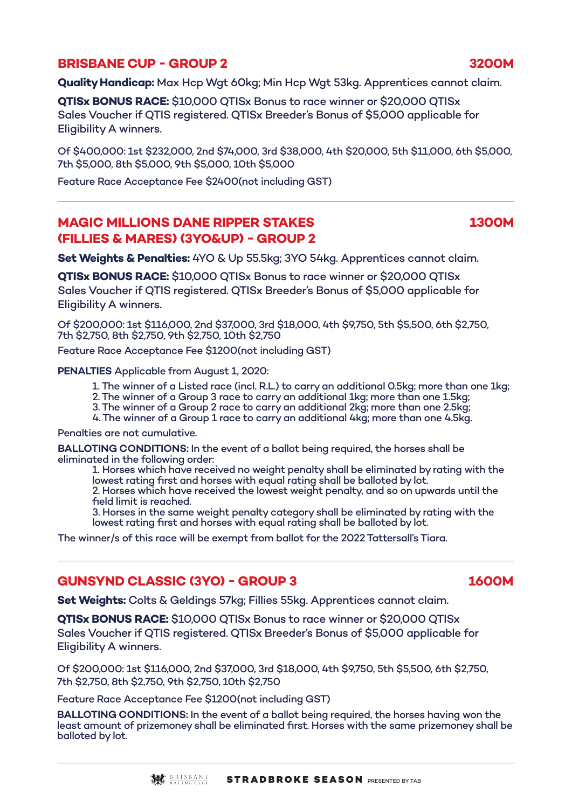# **BRISBANE CUP - GROUP 2 3200M**

**Quality Handicap:** Max Hcp Wgt 60kg; Min Hcp Wgt 53kg. Apprentices cannot claim.

**QTISx BONUS RACE:** \$10,000 QTISx Bonus to race winner or \$20,000 QTISx Sales Voucher if QTIS registered. QTISx Breeder's Bonus of \$5,000 applicable for Eligibility A winners.

Of \$400,000: 1st \$232,000, 2nd \$74,000, 3rd \$38,000, 4th \$20,000, 5th \$11,000, 6th \$5,000, 7th \$5,000, 8th \$5,000, 9th \$5,000, 10th \$5,000

Feature Race Acceptance Fee \$2400(not including GST)

# **MAGIC MILLIONS DANE RIPPER STAKES 1300M (FILLIES & MARES) (3YO&UP) - GROUP 2**

**Set Weights & Penalties:** 4YO & Up 55.5kg; 3YO 54kg. Apprentices cannot claim.

**QTISx BONUS RACE:** \$10,000 QTISx Bonus to race winner or \$20,000 QTISx Sales Voucher if QTIS registered. QTISx Breeder's Bonus of \$5,000 applicable for Eligibility A winners.

Of \$200,000: 1st \$116,000, 2nd \$37,000, 3rd \$18,000, 4th \$9,750, 5th \$5,500, 6th \$2,750, 7th \$2,750, 8th \$2,750, 9th \$2,750, 10th \$2,750

Feature Race Acceptance Fee \$1200(not including GST)

**PENALTIES** Applicable from August 1, 2020:

- 1. The winner of a Listed race (incl. R.L.) to carry an additional 0.5kg; more than one 1kg;
- 2. The winner of a Group 3 race to carry an additional 1kg; more than one 1.5kg;

3. The winner of a Group 2 race to carry an additional 2kg; more than one 2.5kg;

4. The winner of a Group 1 race to carry an additional 4kg; more than one 4.5kg.

Penalties are not cumulative.

**BALLOTING CONDITIONS:** In the event of a ballot being required, the horses shall be eliminated in the following order:

1. Horses which have received no weight penalty shall be eliminated by rating with the lowest rating first and horses with equal rating shall be balloted by lot. 2. Horses which have received the lowest weight penalty, and so on upwards until the field limit is reached.

3. Horses in the same weight penalty category shall be eliminated by rating with the lowest rating first and horses with equal rating shall be balloted by lot.

The winner/s of this race will be exempt from ballot for the 2022 Tattersall's Tiara.

#### **GUNSYND CLASSIC (3YO) - GROUP 3 1600M**

**Set Weights:** Colts & Geldings 57kg; Fillies 55kg. Apprentices cannot claim.

**QTISx BONUS RACE:** \$10,000 QTISx Bonus to race winner or \$20,000 QTISx Sales Voucher if QTIS registered. QTISx Breeder's Bonus of \$5,000 applicable for Eligibility A winners.

Of \$200,000: 1st \$116,000, 2nd \$37,000, 3rd \$18,000, 4th \$9,750, 5th \$5,500, 6th \$2,750, 7th \$2,750, 8th \$2,750, 9th \$2,750, 10th \$2,750

Feature Race Acceptance Fee \$1200(not including GST)

**BALLOTING CONDITIONS:** In the event of a ballot being required, the horses having won the least amount of prizemoney shall be eliminated first. Horses with the same prizemoney shall be balloted by lot.